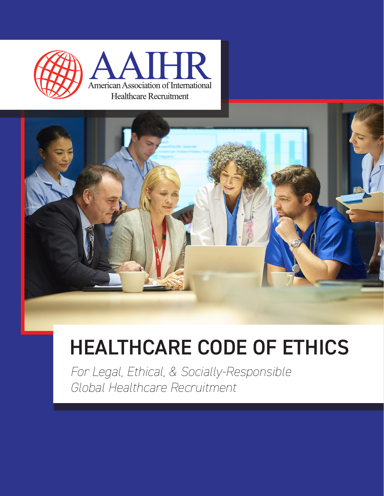



### HEALTHCARE CODE OF ETHICS

*For Legal, Ethical, & Socially-Responsible Global Healthcare Recruitment*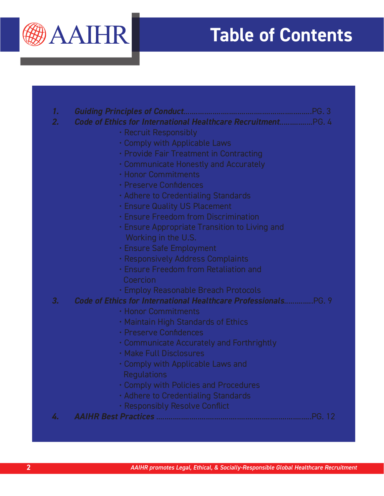

### **Table of Contents**

| $\mathbf{1}$ . |                                                                 |
|----------------|-----------------------------------------------------------------|
| 2.             | Code of Ethics for International Healthcare RecruitmentPG. 4    |
|                | · Recruit Responsibly                                           |
|                | . Comply with Applicable Laws                                   |
|                | · Provide Fair Treatment in Contracting                         |
|                | • Communicate Honestly and Accurately                           |
|                | <b>· Honor Commitments</b>                                      |
|                | · Preserve Confidences                                          |
|                | . Adhere to Credentialing Standards                             |
|                | <b>· Ensure Quality US Placement</b>                            |
|                | <b>· Ensure Freedom from Discrimination</b>                     |
|                | • Ensure Appropriate Transition to Living and                   |
|                | Working in the U.S.                                             |
|                | · Ensure Safe Employment                                        |
|                | · Responsively Address Complaints                               |
|                | · Ensure Freedom from Retaliation and                           |
|                | Coercion                                                        |
|                | · Employ Reasonable Breach Protocols                            |
| 3.             | Code of Ethics for International Healthcare Professionals PG. 9 |
|                | · Honor Commitments                                             |
|                | . Maintain High Standards of Ethics                             |
|                | · Preserve Confidences                                          |
|                | • Communicate Accurately and Forthrightly                       |
|                | · Make Full Disclosures                                         |
|                | . Comply with Applicable Laws and                               |
|                | <b>Regulations</b>                                              |
|                | . Comply with Policies and Procedures                           |
|                | · Adhere to Credentialing Standards                             |
|                | · Responsibly Resolve Conflict                                  |
| 4.             |                                                                 |
|                |                                                                 |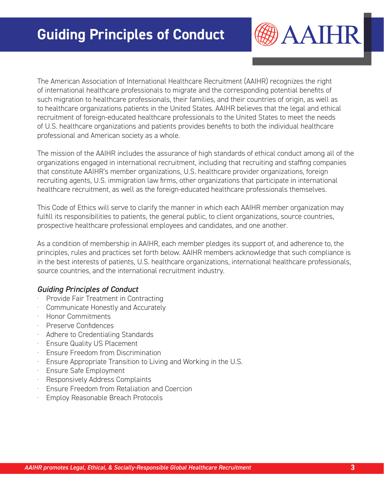**AAIHR** 

The American Association of International Healthcare Recruitment (AAIHR) recognizes the right of international healthcare professionals to migrate and the corresponding potential benefits of such migration to healthcare professionals, their families, and their countries of origin, as well as to healthcare organizations patients in the United States. AAIHR believes that the legal and ethical recruitment of foreign-educated healthcare professionals to the United States to meet the needs of U.S. healthcare organizations and patients provides benefits to both the individual healthcare professional and American society as a whole.

The mission of the AAIHR includes the assurance of high standards of ethical conduct among all of the organizations engaged in international recruitment, including that recruiting and staffing companies that constitute AAIHR's member organizations, U.S. healthcare provider organizations, foreign recruiting agents, U.S. immigration law firms, other organizations that participate in international healthcare recruitment, as well as the foreign-educated healthcare professionals themselves.

This Code of Ethics will serve to clarify the manner in which each AAIHR member organization may fulfill its responsibilities to patients, the general public, to client organizations, source countries, prospective healthcare professional employees and candidates, and one another.

As a condition of membership in AAIHR, each member pledges its support of, and adherence to, the principles, rules and practices set forth below. AAIHR members acknowledge that such compliance is in the best interests of patients, U.S. healthcare organizations, international healthcare professionals, source countries, and the international recruitment industry.

#### *Guiding Principles of Conduct*

- · Provide Fair Treatment in Contracting
- Communicate Honestly and Accurately
- · Honor Commitments
- · Preserve Confidences
- Adhere to Credentialing Standards
- · Ensure Quality US Placement
- **Ensure Freedom from Discrimination**
- · Ensure Appropriate Transition to Living and Working in the U.S.
- · Ensure Safe Employment
- Responsively Address Complaints
- · Ensure Freedom from Retaliation and Coercion
- **Employ Reasonable Breach Protocols**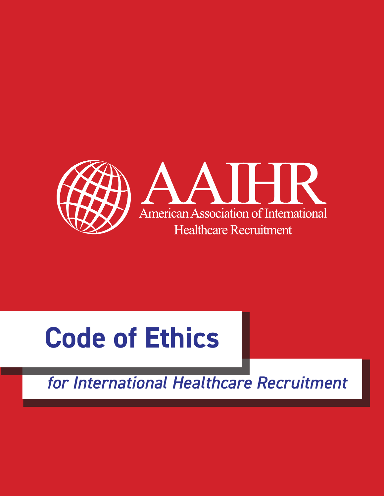

# **Code of Ethics**

*for International Healthcare Recruitment*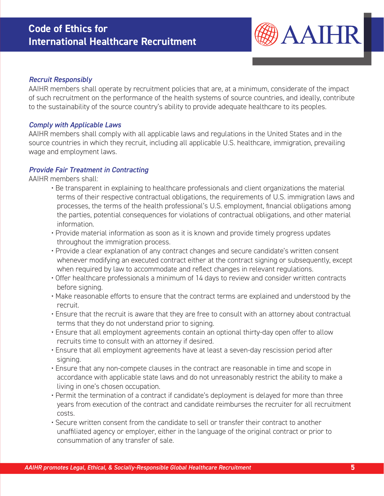#### **Code of Ethics for International Healthcare Recruitment**



#### *Recruit Responsibly*

AAIHR members shall operate by recruitment policies that are, at a minimum, considerate of the impact of such recruitment on the performance of the health systems of source countries, and ideally, contribute to the sustainability of the source country's ability to provide adequate healthcare to its peoples.

#### *Comply with Applicable Laws*

AAIHR members shall comply with all applicable laws and regulations in the United States and in the source countries in which they recruit, including all applicable U.S. healthcare, immigration, prevailing wage and employment laws.

#### *Provide Fair Treatment in Contracting*

AAIHR members shall:

- Be transparent in explaining to healthcare professionals and client organizations the material terms of their respective contractual obligations, the requirements of U.S. immigration laws and processes, the terms of the health professional's U.S. employment, financial obligations among the parties, potential consequences for violations of contractual obligations, and other material information.
- Provide material information as soon as it is known and provide timely progress updates throughout the immigration process.
- Provide a clear explanation of any contract changes and secure candidate's written consent whenever modifying an executed contract either at the contract signing or subsequently, except when required by law to accommodate and reflect changes in relevant regulations.
- Offer healthcare professionals a minimum of 14 days to review and consider written contracts before signing.
- Make reasonable efforts to ensure that the contract terms are explained and understood by the recruit.
- Ensure that the recruit is aware that they are free to consult with an attorney about contractual terms that they do not understand prior to signing.
- Ensure that all employment agreements contain an optional thirty-day open offer to allow recruits time to consult with an attorney if desired.
- Ensure that all employment agreements have at least a seven-day rescission period after signing.
- Ensure that any non-compete clauses in the contract are reasonable in time and scope in accordance with applicable state laws and do not unreasonably restrict the ability to make a living in one's chosen occupation.
- Permit the termination of a contract if candidate's deployment is delayed for more than three years from execution of the contract and candidate reimburses the recruiter for all recruitment costs.
- Secure written consent from the candidate to sell or transfer their contract to another unaffiliated agency or employer, either in the language of the original contract or prior to consummation of any transfer of sale.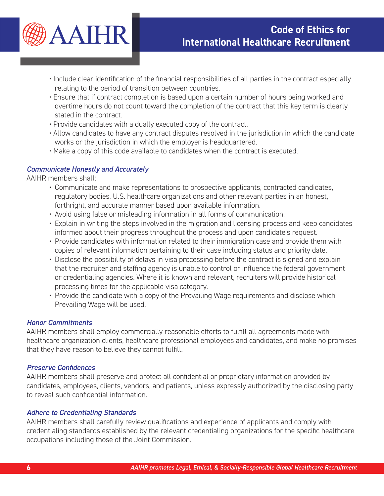

- Include clear identification of the financial responsibilities of all parties in the contract especially relating to the period of transition between countries.
- Ensure that if contract completion is based upon a certain number of hours being worked and overtime hours do not count toward the completion of the contract that this key term is clearly stated in the contract.
- Provide candidates with a dually executed copy of the contract.
- Allow candidates to have any contract disputes resolved in the jurisdiction in which the candidate works or the jurisdiction in which the employer is headquartered.
- Make a copy of this code available to candidates when the contract is executed.

#### *Communicate Honestly and Accurately*

AAIHR members shall:

- Communicate and make representations to prospective applicants, contracted candidates, regulatory bodies, U.S. healthcare organizations and other relevant parties in an honest, forthright, and accurate manner based upon available information.
- Avoid using false or misleading information in all forms of communication.
- Explain in writing the steps involved in the migration and licensing process and keep candidates informed about their progress throughout the process and upon candidate's request.
- Provide candidates with information related to their immigration case and provide them with copies of relevant information pertaining to their case including status and priority date.
- Disclose the possibility of delays in visa processing before the contract is signed and explain that the recruiter and staffing agency is unable to control or influence the federal government or credentialing agencies. Where it is known and relevant, recruiters will provide historical processing times for the applicable visa category.
- Provide the candidate with a copy of the Prevailing Wage requirements and disclose which Prevailing Wage will be used.

#### *Honor Commitments*

AAIHR members shall employ commercially reasonable efforts to fulfill all agreements made with healthcare organization clients, healthcare professional employees and candidates, and make no promises that they have reason to believe they cannot fulfill.

#### *Preserve Confidences*

AAIHR members shall preserve and protect all confidential or proprietary information provided by candidates, employees, clients, vendors, and patients, unless expressly authorized by the disclosing party to reveal such confidential information.

#### *Adhere to Credentialing Standards*

AAIHR members shall carefully review qualifications and experience of applicants and comply with credentialing standards established by the relevant credentialing organizations for the specific healthcare occupations including those of the Joint Commission.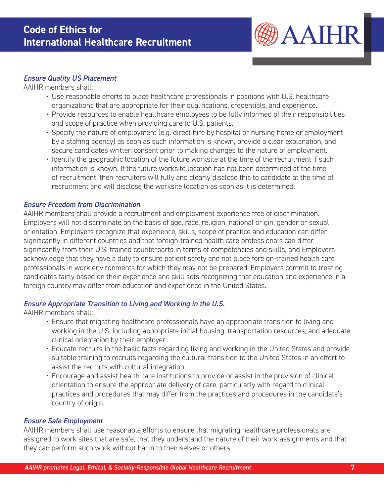

#### *Ensure Quality US Placement*

AAIHR members shall:

- Use reasonable efforts to place healthcare professionals in positions with U.S. healthcare organizations that are appropriate for their qualifications, credentials, and experience.
- Provide resources to enable healthcare employees to be fully informed of their responsibilities and scope of practice when providing care to U.S. patients.
- Specify the nature of employment (e.g. direct hire by hospital or nursing home or employment by a staffing agency) as soon as such information is known, provide a clear explanation, and secure candidates written consent prior to making changes to the nature of employment.
- Identify the geographic location of the future worksite at the time of the recruitment if such information is known. If the future worksite location has not been determined at the time of recruitment, then recruiters will fully and clearly disclose this to candidate at the time of recruitment and will disclose the worksite location as soon as it is determined.

#### *Ensure Freedom from Discrimination*

AAIHR members shall provide a recruitment and employment experience free of discrimination. Employers will not discriminate on the basis of age, race, religion, national origin, gender or sexual orientation. Employers recognize that experience, skills, scope of practice and education can differ significantly in different countries and that foreign-trained health care professionals can differ significantly from their U.S. trained counterparts in terms of competencies and skills, and Employers acknowledge that they have a duty to ensure patient safety and not place foreign-trained health care professionals in work environments for which they may not be prepared. Employers commit to treating candidates fairly based on their experience and skill sets recognizing that education and experience in a foreign country may differ from education and experience in the United States.

#### *Ensure Appropriate Transition to Living and Working in the U.S.*

AAIHR members shall:

- Ensure that migrating healthcare professionals have an appropriate transition to living and working in the U.S. including appropriate initial housing, transportation resources, and adequate clinical orientation by their employer.
- Educate recruits in the basic facts regarding living and working in the United States and provide suitable training to recruits regarding the cultural transition to the United States in an effort to assist the recruits with cultural integration.
- Encourage and assist health care institutions to provide or assist in the provision of clinical orientation to ensure the appropriate delivery of care, particularly with regard to clinical practices and procedures that may differ from the practices and procedures in the candidate's country of origin.

#### *Ensure Safe Employment*

AAIHR members shall use reasonable efforts to ensure that migrating healthcare professionals are assigned to work sites that are safe, that they understand the nature of their work assignments and that they can perform such work without harm to themselves or others.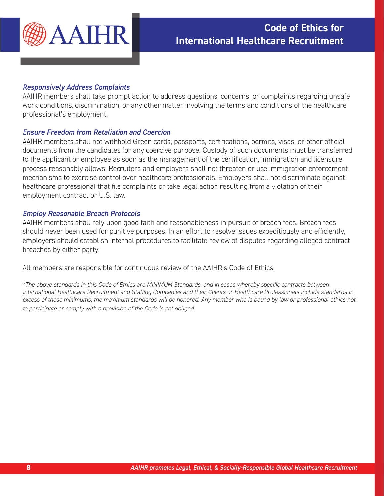

#### *Responsively Address Complaints*

AAIHR members shall take prompt action to address questions, concerns, or complaints regarding unsafe work conditions, discrimination, or any other matter involving the terms and conditions of the healthcare professional's employment.

#### *Ensure Freedom from Retaliation and Coercion*

AAIHR members shall not withhold Green cards, passports, certifications, permits, visas, or other official documents from the candidates for any coercive purpose. Custody of such documents must be transferred to the applicant or employee as soon as the management of the certification, immigration and licensure process reasonably allows. Recruiters and employers shall not threaten or use immigration enforcement mechanisms to exercise control over healthcare professionals. Employers shall not discriminate against healthcare professional that file complaints or take legal action resulting from a violation of their employment contract or U.S. law.

#### *Employ Reasonable Breach Protocols*

AAIHR members shall rely upon good faith and reasonableness in pursuit of breach fees. Breach fees should never been used for punitive purposes. In an effort to resolve issues expeditiously and efficiently, employers should establish internal procedures to facilitate review of disputes regarding alleged contract breaches by either party.

All members are responsible for continuous review of the AAIHR's Code of Ethics.

*\*The above standards in this Code of Ethics are MINIMUM Standards, and in cases whereby specific contracts between International Healthcare Recruitment and Staffing Companies and their Clients or Healthcare Professionals include standards in*  excess of these minimums, the maximum standards will be honored. Any member who is bound by law or professional ethics not *to participate or comply with a provision of the Code is not obliged.*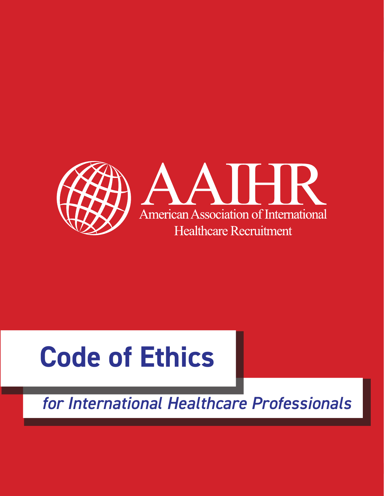

## **Code of Ethics**

*for International Healthcare Professionals*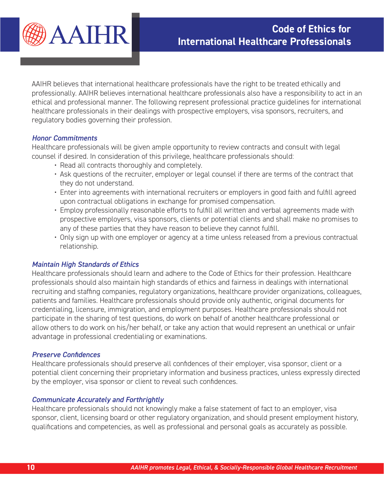

AAIHR believes that international healthcare professionals have the right to be treated ethically and professionally. AAIHR believes international healthcare professionals also have a responsibility to act in an ethical and professional manner. The following represent professional practice guidelines for international healthcare professionals in their dealings with prospective employers, visa sponsors, recruiters, and regulatory bodies governing their profession.

#### *Honor Commitments*

Healthcare professionals will be given ample opportunity to review contracts and consult with legal counsel if desired. In consideration of this privilege, healthcare professionals should:

- Read all contracts thoroughly and completely.
- Ask questions of the recruiter, employer or legal counsel if there are terms of the contract that they do not understand.
- Enter into agreements with international recruiters or employers in good faith and fulfill agreed upon contractual obligations in exchange for promised compensation.
- Employ professionally reasonable efforts to fulfill all written and verbal agreements made with prospective employers, visa sponsors, clients or potential clients and shall make no promises to any of these parties that they have reason to believe they cannot fulfill.
- Only sign up with one employer or agency at a time unless released from a previous contractual relationship.

#### *Maintain High Standards of Ethics*

Healthcare professionals should learn and adhere to the Code of Ethics for their profession. Healthcare professionals should also maintain high standards of ethics and fairness in dealings with international recruiting and staffing companies, regulatory organizations, healthcare provider organizations, colleagues, patients and families. Healthcare professionals should provide only authentic, original documents for credentialing, licensure, immigration, and employment purposes. Healthcare professionals should not participate in the sharing of test questions, do work on behalf of another healthcare professional or allow others to do work on his/her behalf, or take any action that would represent an unethical or unfair advantage in professional credentialing or examinations.

#### *Preserve Confidences*

Healthcare professionals should preserve all confidences of their employer, visa sponsor, client or a potential client concerning their proprietary information and business practices, unless expressly directed by the employer, visa sponsor or client to reveal such confidences.

#### *Communicate Accurately and Forthrightly*

Healthcare professionals should not knowingly make a false statement of fact to an employer, visa sponsor, client, licensing board or other regulatory organization, and should present employment history, qualifications and competencies, as well as professional and personal goals as accurately as possible.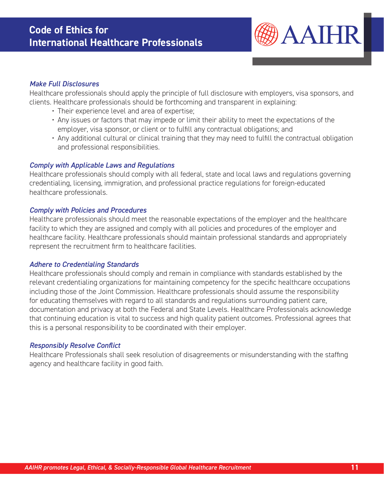

#### *Make Full Disclosures*

Healthcare professionals should apply the principle of full disclosure with employers, visa sponsors, and clients. Healthcare professionals should be forthcoming and transparent in explaining:

- Their experience level and area of expertise;
- Any issues or factors that may impede or limit their ability to meet the expectations of the employer, visa sponsor, or client or to fulfill any contractual obligations; and
- Any additional cultural or clinical training that they may need to fulfill the contractual obligation and professional responsibilities.

#### *Comply with Applicable Laws and Regulations*

Healthcare professionals should comply with all federal, state and local laws and regulations governing credentialing, licensing, immigration, and professional practice regulations for foreign-educated healthcare professionals.

#### *Comply with Policies and Procedures*

Healthcare professionals should meet the reasonable expectations of the employer and the healthcare facility to which they are assigned and comply with all policies and procedures of the employer and healthcare facility. Healthcare professionals should maintain professional standards and appropriately represent the recruitment firm to healthcare facilities.

#### *Adhere to Credentialing Standards*

Healthcare professionals should comply and remain in compliance with standards established by the relevant credentialing organizations for maintaining competency for the specific healthcare occupations including those of the Joint Commission. Healthcare professionals should assume the responsibility for educating themselves with regard to all standards and regulations surrounding patient care, documentation and privacy at both the Federal and State Levels. Healthcare Professionals acknowledge that continuing education is vital to success and high quality patient outcomes. Professional agrees that this is a personal responsibility to be coordinated with their employer.

#### *Responsibly Resolve Conflict*

Healthcare Professionals shall seek resolution of disagreements or misunderstanding with the staffing agency and healthcare facility in good faith.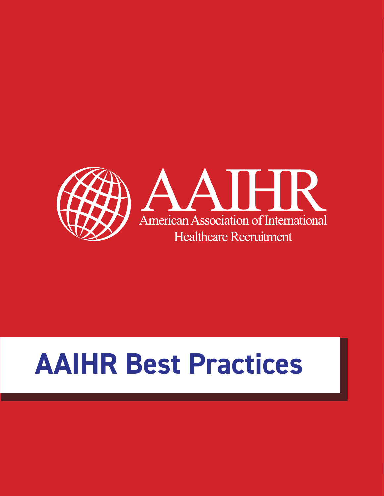

## **AAIHR Best Practices**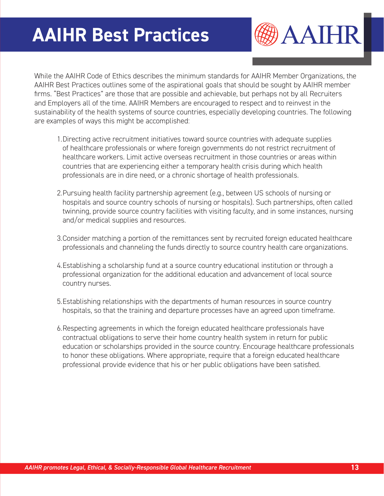### **AAIHR Best Practices**

AAIHR

While the AAIHR Code of Ethics describes the minimum standards for AAIHR Member Organizations, the AAIHR Best Practices outlines some of the aspirational goals that should be sought by AAIHR member firms. "Best Practices" are those that are possible and achievable, but perhaps not by all Recruiters and Employers all of the time. AAIHR Members are encouraged to respect and to reinvest in the sustainability of the health systems of source countries, especially developing countries. The following are examples of ways this might be accomplished:

- 1.Directing active recruitment initiatives toward source countries with adequate supplies of healthcare professionals or where foreign governments do not restrict recruitment of healthcare workers. Limit active overseas recruitment in those countries or areas within countries that are experiencing either a temporary health crisis during which health professionals are in dire need, or a chronic shortage of health professionals.
- 2.Pursuing health facility partnership agreement (e.g., between US schools of nursing or hospitals and source country schools of nursing or hospitals). Such partnerships, often called twinning, provide source country facilities with visiting faculty, and in some instances, nursing and/or medical supplies and resources.
- 3.Consider matching a portion of the remittances sent by recruited foreign educated healthcare professionals and channeling the funds directly to source country health care organizations.
- 4.Establishing a scholarship fund at a source country educational institution or through a professional organization for the additional education and advancement of local source country nurses.
- 5.Establishing relationships with the departments of human resources in source country hospitals, so that the training and departure processes have an agreed upon timeframe.
- 6.Respecting agreements in which the foreign educated healthcare professionals have contractual obligations to serve their home country health system in return for public education or scholarships provided in the source country. Encourage healthcare professionals to honor these obligations. Where appropriate, require that a foreign educated healthcare professional provide evidence that his or her public obligations have been satisfied.